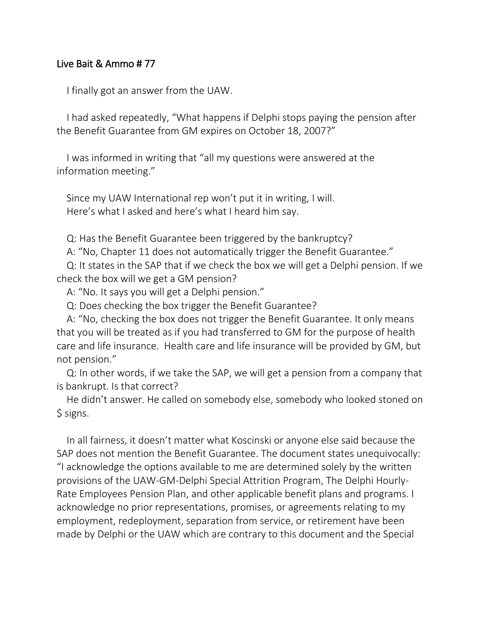## Live Bait & Ammo # 77

I finally got an answer from the UAW.

I had asked repeatedly, "What happens if Delphi stops paying the pension after the Benefit Guarantee from GM expires on October 18, 2007?"

I was informed in writing that "all my questions were answered at the information meeting."

Since my UAW International rep won't put it in writing, I will. Here's what I asked and here's what I heard him say.

Q: Has the Benefit Guarantee been triggered by the bankruptcy?

A: "No, Chapter 11 does not automatically trigger the Benefit Guarantee."

Q: It states in the SAP that if we check the box we will get a Delphi pension. If we check the box will we get a GM pension?

A: "No. It says you will get a Delphi pension."

Q: Does checking the box trigger the Benefit Guarantee?

A: "No, checking the box does not trigger the Benefit Guarantee. It only means that you will be treated as if you had transferred to GM for the purpose of health care and life insurance. Health care and life insurance will be provided by GM, but not pension."

Q: In other words, if we take the SAP, we will get a pension from a company that is bankrupt. Is that correct?

He didn't answer. He called on somebody else, somebody who looked stoned on \$ signs.

In all fairness, it doesn't matter what Koscinski or anyone else said because the SAP does not mention the Benefit Guarantee. The document states unequivocally: "I acknowledge the options available to me are determined solely by the written provisions of the UAW-GM-Delphi Special Attrition Program, The Delphi Hourly-Rate Employees Pension Plan, and other applicable benefit plans and programs. I acknowledge no prior representations, promises, or agreements relating to my employment, redeployment, separation from service, or retirement have been made by Delphi or the UAW which are contrary to this document and the Special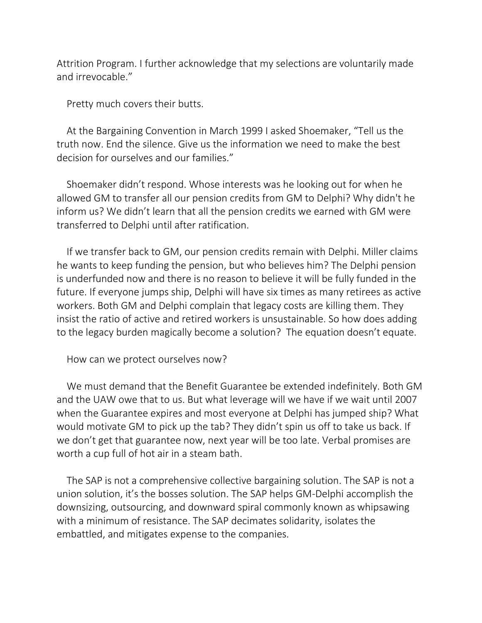Attrition Program. I further acknowledge that my selections are voluntarily made and irrevocable."

Pretty much covers their butts.

At the Bargaining Convention in March 1999 I asked Shoemaker, "Tell us the truth now. End the silence. Give us the information we need to make the best decision for ourselves and our families."

Shoemaker didn't respond. Whose interests was he looking out for when he allowed GM to transfer all our pension credits from GM to Delphi? Why didn't he inform us? We didn't learn that all the pension credits we earned with GM were transferred to Delphi until after ratification.

If we transfer back to GM, our pension credits remain with Delphi. Miller claims he wants to keep funding the pension, but who believes him? The Delphi pension is underfunded now and there is no reason to believe it will be fully funded in the future. If everyone jumps ship, Delphi will have six times as many retirees as active workers. Both GM and Delphi complain that legacy costs are killing them. They insist the ratio of active and retired workers is unsustainable. So how does adding to the legacy burden magically become a solution? The equation doesn't equate.

How can we protect ourselves now?

We must demand that the Benefit Guarantee be extended indefinitely. Both GM and the UAW owe that to us. But what leverage will we have if we wait until 2007 when the Guarantee expires and most everyone at Delphi has jumped ship? What would motivate GM to pick up the tab? They didn't spin us off to take us back. If we don't get that guarantee now, next year will be too late. Verbal promises are worth a cup full of hot air in a steam bath.

The SAP is not a comprehensive collective bargaining solution. The SAP is not a union solution, it's the bosses solution. The SAP helps GM-Delphi accomplish the downsizing, outsourcing, and downward spiral commonly known as whipsawing with a minimum of resistance. The SAP decimates solidarity, isolates the embattled, and mitigates expense to the companies.